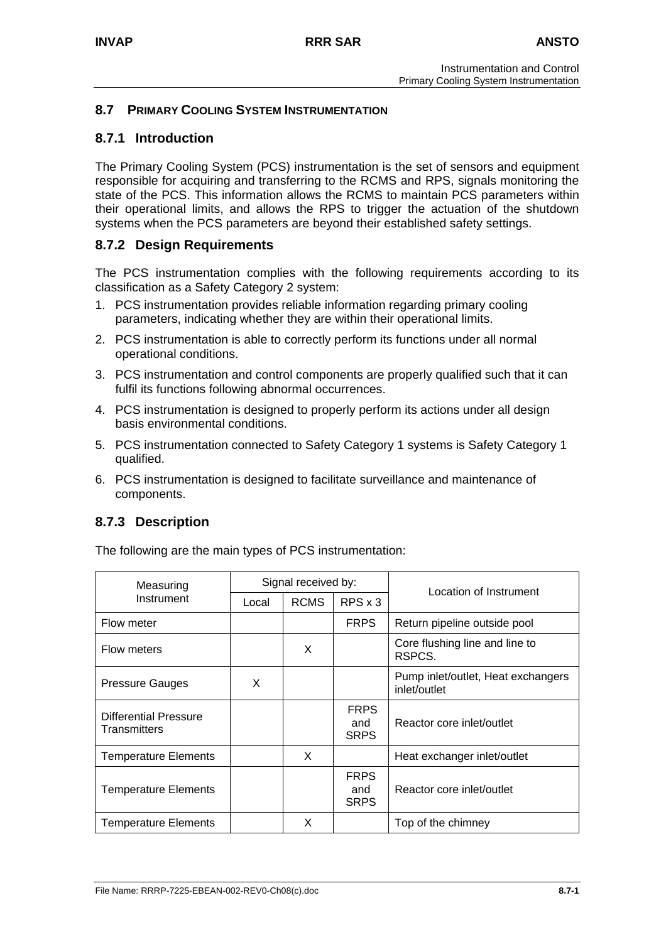## **8.7 PRIMARY COOLING SYSTEM INSTRUMENTATION**

## **8.7.1 Introduction**

The Primary Cooling System (PCS) instrumentation is the set of sensors and equipment responsible for acquiring and transferring to the RCMS and RPS, signals monitoring the state of the PCS. This information allows the RCMS to maintain PCS parameters within their operational limits, and allows the RPS to trigger the actuation of the shutdown systems when the PCS parameters are beyond their established safety settings.

## **8.7.2 Design Requirements**

The PCS instrumentation complies with the following requirements according to its classification as a Safety Category 2 system:

- 1. PCS instrumentation provides reliable information regarding primary cooling parameters, indicating whether they are within their operational limits.
- 2. PCS instrumentation is able to correctly perform its functions under all normal operational conditions.
- 3. PCS instrumentation and control components are properly qualified such that it can fulfil its functions following abnormal occurrences.
- 4. PCS instrumentation is designed to properly perform its actions under all design basis environmental conditions.
- 5. PCS instrumentation connected to Safety Category 1 systems is Safety Category 1 qualified.
- 6. PCS instrumentation is designed to facilitate surveillance and maintenance of components.

# **8.7.3 Description**

The following are the main types of PCS instrumentation:

| Measuring                                           |       | Signal received by: |                                   | Location of Instrument                             |
|-----------------------------------------------------|-------|---------------------|-----------------------------------|----------------------------------------------------|
| Instrument                                          | Local | <b>RCMS</b>         | $RPS \times 3$                    |                                                    |
| Flow meter                                          |       |                     | <b>FRPS</b>                       | Return pipeline outside pool                       |
| Flow meters                                         |       | X                   |                                   | Core flushing line and line to<br>RSPCS.           |
| <b>Pressure Gauges</b>                              | X     |                     |                                   | Pump inlet/outlet, Heat exchangers<br>inlet/outlet |
| <b>Differential Pressure</b><br><b>Transmitters</b> |       |                     | <b>FRPS</b><br>and<br><b>SRPS</b> | Reactor core inlet/outlet                          |
| <b>Temperature Elements</b>                         |       | X                   |                                   | Heat exchanger inlet/outlet                        |
| <b>Temperature Elements</b>                         |       |                     | <b>FRPS</b><br>and<br><b>SRPS</b> | Reactor core inlet/outlet                          |
| <b>Temperature Elements</b>                         |       | X                   |                                   | Top of the chimney                                 |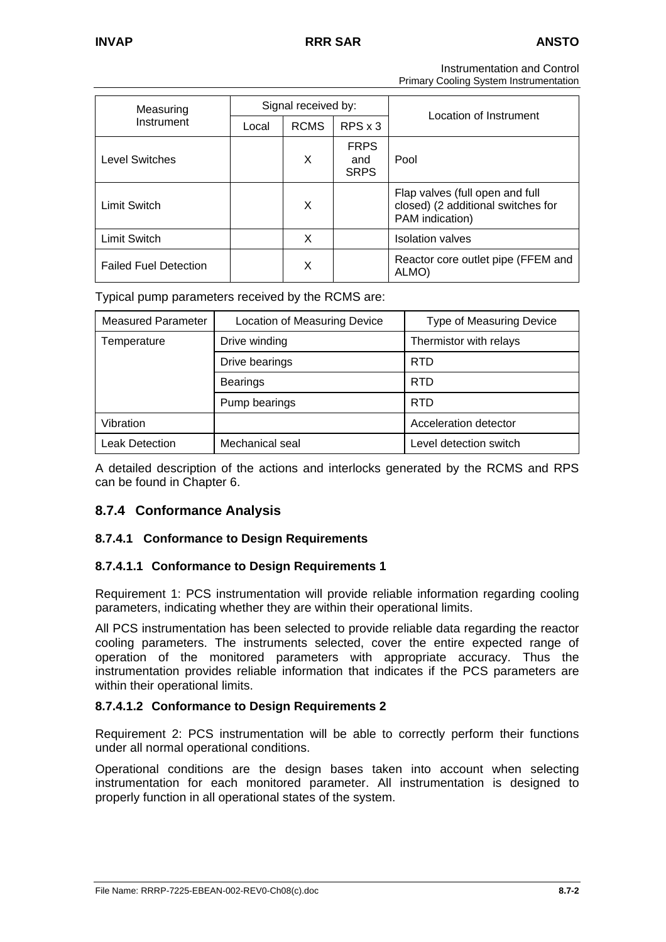Instrumentation and Control

Primary Cooling System Instrumentation

| Measuring                    |       | Signal received by: |                                   | Location of Instrument                                                                   |
|------------------------------|-------|---------------------|-----------------------------------|------------------------------------------------------------------------------------------|
| Instrument                   | Local | <b>RCMS</b>         | $RPS \times 3$                    |                                                                                          |
| <b>Level Switches</b>        |       | X                   | <b>FRPS</b><br>and<br><b>SRPS</b> | Pool                                                                                     |
| <b>Limit Switch</b>          |       | X                   |                                   | Flap valves (full open and full<br>closed) (2 additional switches for<br>PAM indication) |
| <b>Limit Switch</b>          |       | X                   |                                   | <b>Isolation valves</b>                                                                  |
| <b>Failed Fuel Detection</b> |       | X                   |                                   | Reactor core outlet pipe (FFEM and<br>ALMO)                                              |

Typical pump parameters received by the RCMS are:

| <b>Measured Parameter</b> | Location of Measuring Device | <b>Type of Measuring Device</b> |
|---------------------------|------------------------------|---------------------------------|
| Temperature               | Drive winding                | Thermistor with relays          |
|                           | Drive bearings               | <b>RTD</b>                      |
|                           | <b>Bearings</b>              | <b>RTD</b>                      |
|                           | Pump bearings                | <b>RTD</b>                      |
| Vibration                 |                              | Acceleration detector           |
| <b>Leak Detection</b>     | Mechanical seal              | Level detection switch          |

A detailed description of the actions and interlocks generated by the RCMS and RPS can be found in Chapter 6.

# **8.7.4 Conformance Analysis**

## **8.7.4.1 Conformance to Design Requirements**

## **8.7.4.1.1 Conformance to Design Requirements 1**

Requirement 1: PCS instrumentation will provide reliable information regarding cooling parameters, indicating whether they are within their operational limits.

All PCS instrumentation has been selected to provide reliable data regarding the reactor cooling parameters. The instruments selected, cover the entire expected range of operation of the monitored parameters with appropriate accuracy. Thus the instrumentation provides reliable information that indicates if the PCS parameters are within their operational limits.

### **8.7.4.1.2 Conformance to Design Requirements 2**

Requirement 2: PCS instrumentation will be able to correctly perform their functions under all normal operational conditions.

Operational conditions are the design bases taken into account when selecting instrumentation for each monitored parameter. All instrumentation is designed to properly function in all operational states of the system.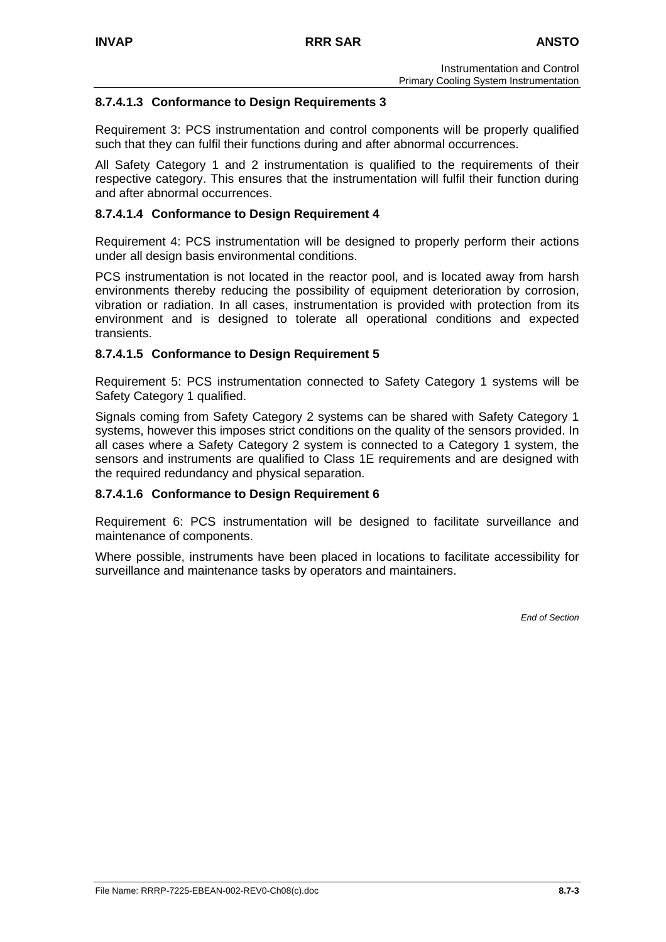### **8.7.4.1.3 Conformance to Design Requirements 3**

Requirement 3: PCS instrumentation and control components will be properly qualified such that they can fulfil their functions during and after abnormal occurrences.

All Safety Category 1 and 2 instrumentation is qualified to the requirements of their respective category. This ensures that the instrumentation will fulfil their function during and after abnormal occurrences.

### **8.7.4.1.4 Conformance to Design Requirement 4**

Requirement 4: PCS instrumentation will be designed to properly perform their actions under all design basis environmental conditions.

PCS instrumentation is not located in the reactor pool, and is located away from harsh environments thereby reducing the possibility of equipment deterioration by corrosion, vibration or radiation. In all cases, instrumentation is provided with protection from its environment and is designed to tolerate all operational conditions and expected transients.

### **8.7.4.1.5 Conformance to Design Requirement 5**

Requirement 5: PCS instrumentation connected to Safety Category 1 systems will be Safety Category 1 qualified.

Signals coming from Safety Category 2 systems can be shared with Safety Category 1 systems, however this imposes strict conditions on the quality of the sensors provided. In all cases where a Safety Category 2 system is connected to a Category 1 system, the sensors and instruments are qualified to Class 1E requirements and are designed with the required redundancy and physical separation.

### **8.7.4.1.6 Conformance to Design Requirement 6**

Requirement 6: PCS instrumentation will be designed to facilitate surveillance and maintenance of components.

Where possible, instruments have been placed in locations to facilitate accessibility for surveillance and maintenance tasks by operators and maintainers.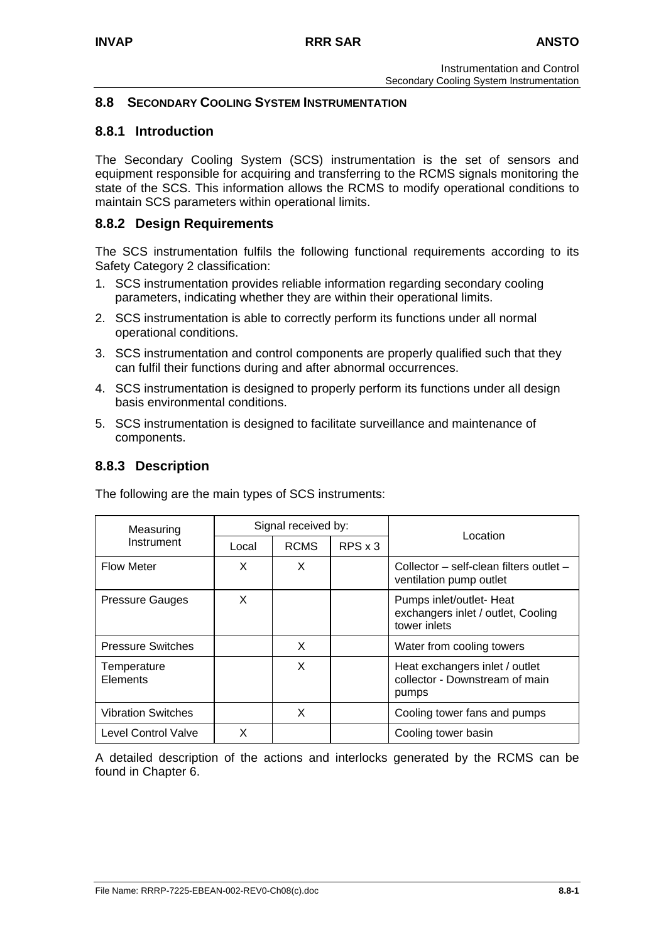## **8.8 SECONDARY COOLING SYSTEM INSTRUMENTATION**

## **8.8.1 Introduction**

The Secondary Cooling System (SCS) instrumentation is the set of sensors and equipment responsible for acquiring and transferring to the RCMS signals monitoring the state of the SCS. This information allows the RCMS to modify operational conditions to maintain SCS parameters within operational limits.

## **8.8.2 Design Requirements**

The SCS instrumentation fulfils the following functional requirements according to its Safety Category 2 classification:

- 1. SCS instrumentation provides reliable information regarding secondary cooling parameters, indicating whether they are within their operational limits.
- 2. SCS instrumentation is able to correctly perform its functions under all normal operational conditions.
- 3. SCS instrumentation and control components are properly qualified such that they can fulfil their functions during and after abnormal occurrences.
- 4. SCS instrumentation is designed to properly perform its functions under all design basis environmental conditions.
- 5. SCS instrumentation is designed to facilitate surveillance and maintenance of components.

## **8.8.3 Description**

The following are the main types of SCS instruments:

| Measuring                 |       | Signal received by: |                | Location                                                                       |
|---------------------------|-------|---------------------|----------------|--------------------------------------------------------------------------------|
| Instrument                | Local | <b>RCMS</b>         | $RPS \times 3$ |                                                                                |
| <b>Flow Meter</b>         | X     | X.                  |                | Collector - self-clean filters outlet -<br>ventilation pump outlet             |
| <b>Pressure Gauges</b>    | X     |                     |                | Pumps inlet/outlet- Heat<br>exchangers inlet / outlet, Cooling<br>tower inlets |
| <b>Pressure Switches</b>  |       | X                   |                | Water from cooling towers                                                      |
| Temperature<br>Elements   |       | X                   |                | Heat exchangers inlet / outlet<br>collector - Downstream of main<br>pumps      |
| <b>Vibration Switches</b> |       | X                   |                | Cooling tower fans and pumps                                                   |
| Level Control Valve       | x     |                     |                | Cooling tower basin                                                            |

A detailed description of the actions and interlocks generated by the RCMS can be found in Chapter 6.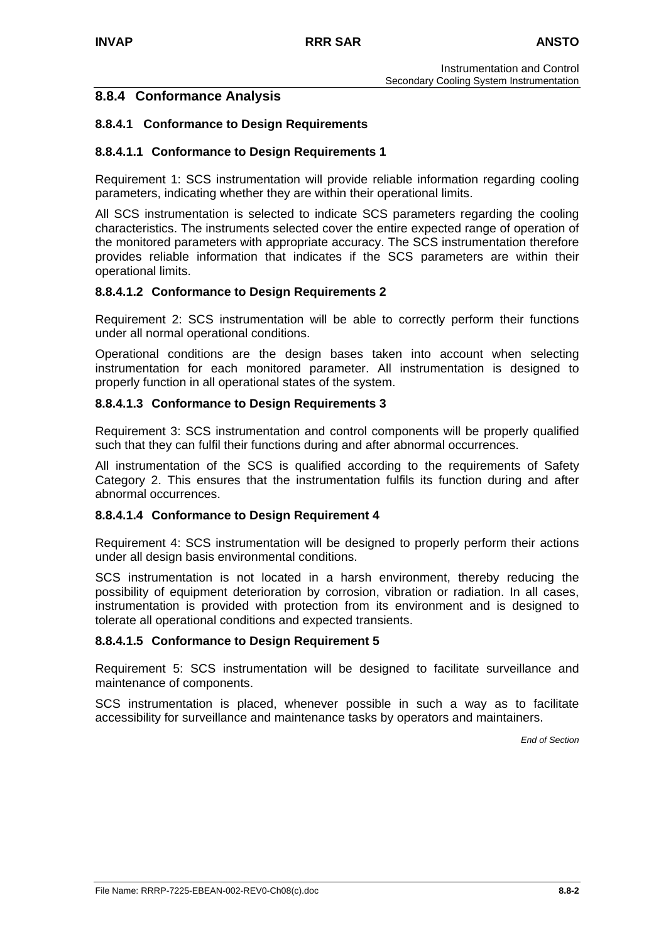## **8.8.4 Conformance Analysis**

### **8.8.4.1 Conformance to Design Requirements**

### **8.8.4.1.1 Conformance to Design Requirements 1**

Requirement 1: SCS instrumentation will provide reliable information regarding cooling parameters, indicating whether they are within their operational limits.

All SCS instrumentation is selected to indicate SCS parameters regarding the cooling characteristics. The instruments selected cover the entire expected range of operation of the monitored parameters with appropriate accuracy. The SCS instrumentation therefore provides reliable information that indicates if the SCS parameters are within their operational limits.

### **8.8.4.1.2 Conformance to Design Requirements 2**

Requirement 2: SCS instrumentation will be able to correctly perform their functions under all normal operational conditions.

Operational conditions are the design bases taken into account when selecting instrumentation for each monitored parameter. All instrumentation is designed to properly function in all operational states of the system.

### **8.8.4.1.3 Conformance to Design Requirements 3**

Requirement 3: SCS instrumentation and control components will be properly qualified such that they can fulfil their functions during and after abnormal occurrences.

All instrumentation of the SCS is qualified according to the requirements of Safety Category 2. This ensures that the instrumentation fulfils its function during and after abnormal occurrences.

### **8.8.4.1.4 Conformance to Design Requirement 4**

Requirement 4: SCS instrumentation will be designed to properly perform their actions under all design basis environmental conditions.

SCS instrumentation is not located in a harsh environment, thereby reducing the possibility of equipment deterioration by corrosion, vibration or radiation. In all cases, instrumentation is provided with protection from its environment and is designed to tolerate all operational conditions and expected transients.

### **8.8.4.1.5 Conformance to Design Requirement 5**

Requirement 5: SCS instrumentation will be designed to facilitate surveillance and maintenance of components.

SCS instrumentation is placed, whenever possible in such a way as to facilitate accessibility for surveillance and maintenance tasks by operators and maintainers.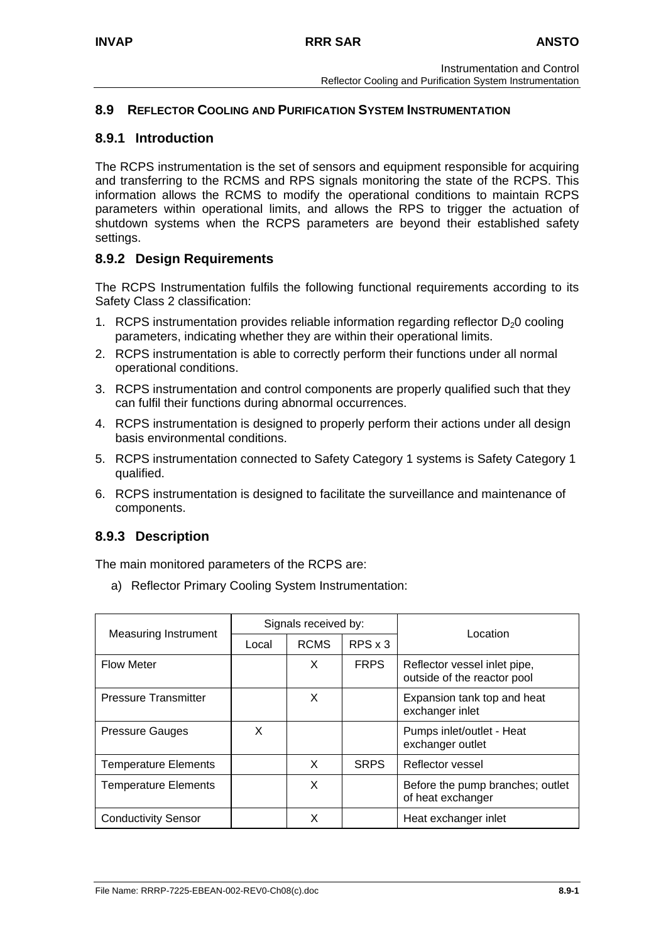## **8.9 REFLECTOR COOLING AND PURIFICATION SYSTEM INSTRUMENTATION**

### **8.9.1 Introduction**

The RCPS instrumentation is the set of sensors and equipment responsible for acquiring and transferring to the RCMS and RPS signals monitoring the state of the RCPS. This information allows the RCMS to modify the operational conditions to maintain RCPS parameters within operational limits, and allows the RPS to trigger the actuation of shutdown systems when the RCPS parameters are beyond their established safety settings.

## **8.9.2 Design Requirements**

The RCPS Instrumentation fulfils the following functional requirements according to its Safety Class 2 classification:

- 1. RCPS instrumentation provides reliable information regarding reflector  $D_2O$  cooling parameters, indicating whether they are within their operational limits.
- 2. RCPS instrumentation is able to correctly perform their functions under all normal operational conditions.
- 3. RCPS instrumentation and control components are properly qualified such that they can fulfil their functions during abnormal occurrences.
- 4. RCPS instrumentation is designed to properly perform their actions under all design basis environmental conditions.
- 5. RCPS instrumentation connected to Safety Category 1 systems is Safety Category 1 qualified.
- 6. RCPS instrumentation is designed to facilitate the surveillance and maintenance of components.

## **8.9.3 Description**

The main monitored parameters of the RCPS are:

a) Reflector Primary Cooling System Instrumentation:

| <b>Measuring Instrument</b> | Signals received by: |             |                | Location                                                    |
|-----------------------------|----------------------|-------------|----------------|-------------------------------------------------------------|
|                             | Local                | <b>RCMS</b> | $RPS \times 3$ |                                                             |
| <b>Flow Meter</b>           |                      | X           | <b>FRPS</b>    | Reflector vessel inlet pipe,<br>outside of the reactor pool |
| <b>Pressure Transmitter</b> |                      | X           |                | Expansion tank top and heat<br>exchanger inlet              |
| <b>Pressure Gauges</b>      | X                    |             |                | Pumps inlet/outlet - Heat<br>exchanger outlet               |
| <b>Temperature Elements</b> |                      | X           | <b>SRPS</b>    | Reflector vessel                                            |
| <b>Temperature Elements</b> |                      | X           |                | Before the pump branches; outlet<br>of heat exchanger       |
| <b>Conductivity Sensor</b>  |                      | X           |                | Heat exchanger inlet                                        |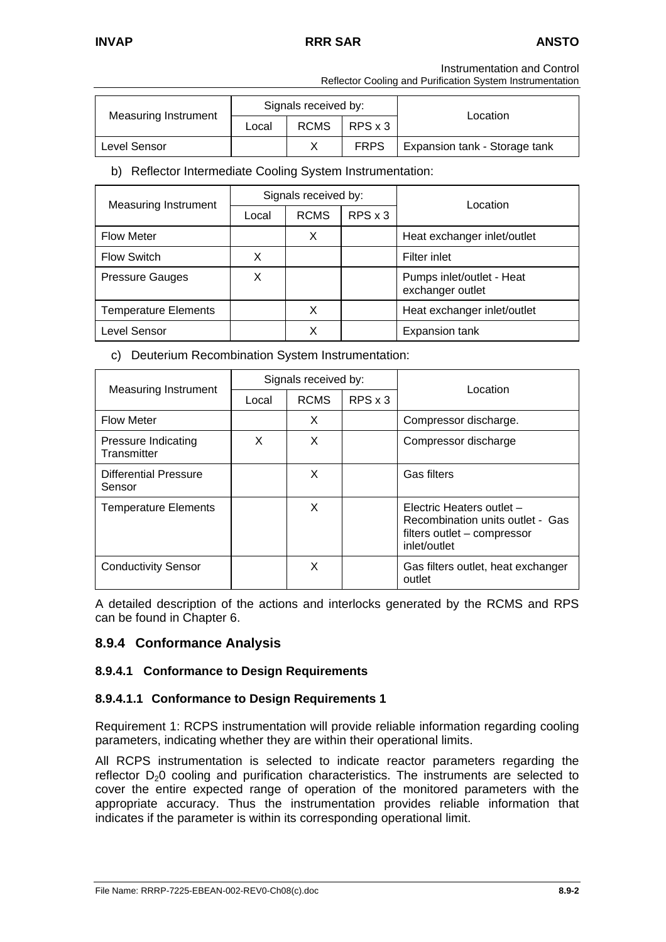## **INVAP RRR SAR ANSTO**

Instrumentation and Control

Reflector Cooling and Purification System Instrumentation

| <b>Measuring Instrument</b> |       | Signals received by: |             | Location                      |  |
|-----------------------------|-------|----------------------|-------------|-------------------------------|--|
|                             | Local | <b>RCMS</b>          | RPS x 3     |                               |  |
| Level Sensor                |       |                      | <b>FRPS</b> | Expansion tank - Storage tank |  |

## b) Reflector Intermediate Cooling System Instrumentation:

| <b>Measuring Instrument</b> |       | Signals received by: |                | Location                                      |
|-----------------------------|-------|----------------------|----------------|-----------------------------------------------|
|                             | Local | <b>RCMS</b>          | $RPS \times 3$ |                                               |
| <b>Flow Meter</b>           |       | х                    |                | Heat exchanger inlet/outlet                   |
| <b>Flow Switch</b>          | X     |                      |                | Filter inlet                                  |
| <b>Pressure Gauges</b>      | X     |                      |                | Pumps inlet/outlet - Heat<br>exchanger outlet |
| <b>Temperature Elements</b> |       | X                    |                | Heat exchanger inlet/outlet                   |
| Level Sensor                |       | X                    |                | Expansion tank                                |

c) Deuterium Recombination System Instrumentation:

|                                           |       | Signals received by: |                | Location                                                                                                     |  |
|-------------------------------------------|-------|----------------------|----------------|--------------------------------------------------------------------------------------------------------------|--|
| Measuring Instrument                      | Local | <b>RCMS</b>          | $RPS \times 3$ |                                                                                                              |  |
| <b>Flow Meter</b>                         |       | X.                   |                | Compressor discharge.                                                                                        |  |
| <b>Pressure Indicating</b><br>Transmitter | X     | X                    |                | Compressor discharge                                                                                         |  |
| <b>Differential Pressure</b><br>Sensor    |       | X                    |                | Gas filters                                                                                                  |  |
| <b>Temperature Elements</b>               |       | X                    |                | Electric Heaters outlet -<br>Recombination units outlet - Gas<br>filters outlet - compressor<br>inlet/outlet |  |
| <b>Conductivity Sensor</b>                |       | X                    |                | Gas filters outlet, heat exchanger<br>outlet                                                                 |  |

A detailed description of the actions and interlocks generated by the RCMS and RPS can be found in Chapter 6.

## **8.9.4 Conformance Analysis**

## **8.9.4.1 Conformance to Design Requirements**

### **8.9.4.1.1 Conformance to Design Requirements 1**

Requirement 1: RCPS instrumentation will provide reliable information regarding cooling parameters, indicating whether they are within their operational limits.

All RCPS instrumentation is selected to indicate reactor parameters regarding the reflector  $D_2O$  cooling and purification characteristics. The instruments are selected to cover the entire expected range of operation of the monitored parameters with the appropriate accuracy. Thus the instrumentation provides reliable information that indicates if the parameter is within its corresponding operational limit.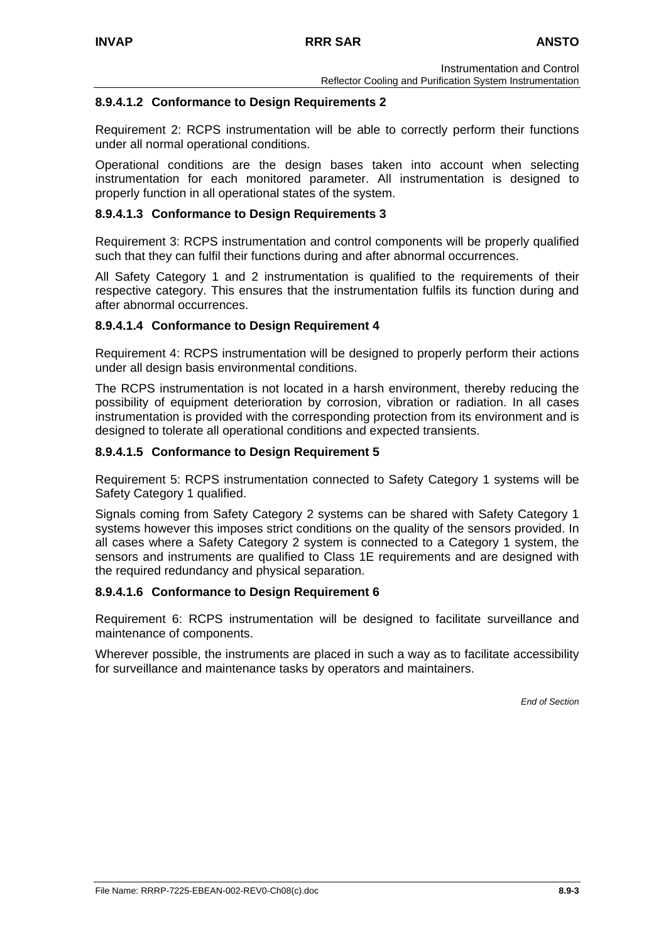### **8.9.4.1.2 Conformance to Design Requirements 2**

Requirement 2: RCPS instrumentation will be able to correctly perform their functions under all normal operational conditions.

Operational conditions are the design bases taken into account when selecting instrumentation for each monitored parameter. All instrumentation is designed to properly function in all operational states of the system.

### **8.9.4.1.3 Conformance to Design Requirements 3**

Requirement 3: RCPS instrumentation and control components will be properly qualified such that they can fulfil their functions during and after abnormal occurrences.

All Safety Category 1 and 2 instrumentation is qualified to the requirements of their respective category. This ensures that the instrumentation fulfils its function during and after abnormal occurrences.

### **8.9.4.1.4 Conformance to Design Requirement 4**

Requirement 4: RCPS instrumentation will be designed to properly perform their actions under all design basis environmental conditions.

The RCPS instrumentation is not located in a harsh environment, thereby reducing the possibility of equipment deterioration by corrosion, vibration or radiation. In all cases instrumentation is provided with the corresponding protection from its environment and is designed to tolerate all operational conditions and expected transients.

### **8.9.4.1.5 Conformance to Design Requirement 5**

Requirement 5: RCPS instrumentation connected to Safety Category 1 systems will be Safety Category 1 qualified.

Signals coming from Safety Category 2 systems can be shared with Safety Category 1 systems however this imposes strict conditions on the quality of the sensors provided. In all cases where a Safety Category 2 system is connected to a Category 1 system, the sensors and instruments are qualified to Class 1E requirements and are designed with the required redundancy and physical separation.

### **8.9.4.1.6 Conformance to Design Requirement 6**

Requirement 6: RCPS instrumentation will be designed to facilitate surveillance and maintenance of components.

Wherever possible, the instruments are placed in such a way as to facilitate accessibility for surveillance and maintenance tasks by operators and maintainers.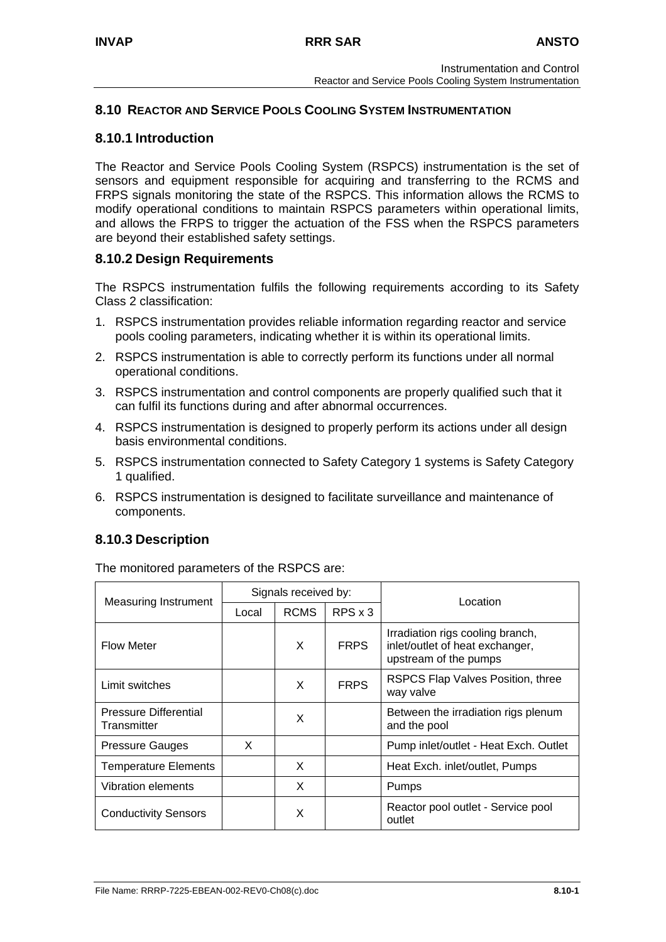## **8.10 REACTOR AND SERVICE POOLS COOLING SYSTEM INSTRUMENTATION**

## **8.10.1 Introduction**

The Reactor and Service Pools Cooling System (RSPCS) instrumentation is the set of sensors and equipment responsible for acquiring and transferring to the RCMS and FRPS signals monitoring the state of the RSPCS. This information allows the RCMS to modify operational conditions to maintain RSPCS parameters within operational limits, and allows the FRPS to trigger the actuation of the FSS when the RSPCS parameters are beyond their established safety settings.

## **8.10.2 Design Requirements**

The RSPCS instrumentation fulfils the following requirements according to its Safety Class 2 classification:

- 1. RSPCS instrumentation provides reliable information regarding reactor and service pools cooling parameters, indicating whether it is within its operational limits.
- 2. RSPCS instrumentation is able to correctly perform its functions under all normal operational conditions.
- 3. RSPCS instrumentation and control components are properly qualified such that it can fulfil its functions during and after abnormal occurrences.
- 4. RSPCS instrumentation is designed to properly perform its actions under all design basis environmental conditions.
- 5. RSPCS instrumentation connected to Safety Category 1 systems is Safety Category 1 qualified.
- 6. RSPCS instrumentation is designed to facilitate surveillance and maintenance of components.

# **8.10.3 Description**

The monitored parameters of the RSPCS are:

|                                             | Signals received by: |             |                | Location                                                                                     |
|---------------------------------------------|----------------------|-------------|----------------|----------------------------------------------------------------------------------------------|
| <b>Measuring Instrument</b>                 | Local                | <b>RCMS</b> | $RPS \times 3$ |                                                                                              |
| <b>Flow Meter</b>                           |                      | X           | <b>FRPS</b>    | Irradiation rigs cooling branch,<br>inlet/outlet of heat exchanger,<br>upstream of the pumps |
| Limit switches                              |                      | X           | <b>FRPS</b>    | RSPCS Flap Valves Position, three<br>way valve                                               |
| <b>Pressure Differential</b><br>Transmitter |                      | X           |                | Between the irradiation rigs plenum<br>and the pool                                          |
| <b>Pressure Gauges</b>                      | X                    |             |                | Pump inlet/outlet - Heat Exch. Outlet                                                        |
| <b>Temperature Elements</b>                 |                      | X           |                | Heat Exch. inlet/outlet, Pumps                                                               |
| <b>Vibration elements</b>                   |                      | X           |                | Pumps                                                                                        |
| <b>Conductivity Sensors</b>                 |                      | X           |                | Reactor pool outlet - Service pool<br>outlet                                                 |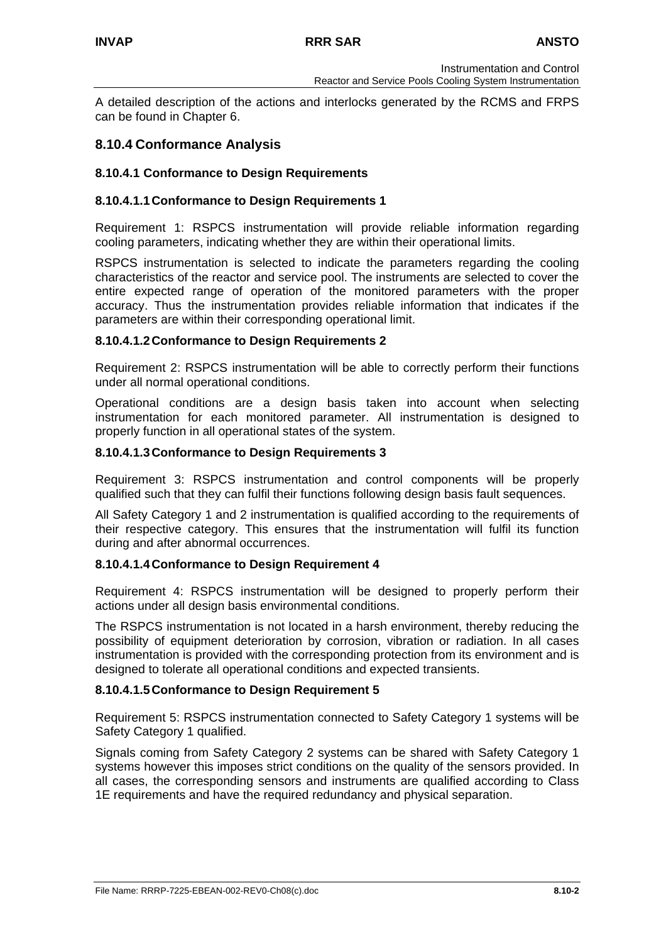A detailed description of the actions and interlocks generated by the RCMS and FRPS can be found in Chapter 6.

## **8.10.4 Conformance Analysis**

### **8.10.4.1 Conformance to Design Requirements**

### **8.10.4.1.1 Conformance to Design Requirements 1**

Requirement 1: RSPCS instrumentation will provide reliable information regarding cooling parameters, indicating whether they are within their operational limits.

RSPCS instrumentation is selected to indicate the parameters regarding the cooling characteristics of the reactor and service pool. The instruments are selected to cover the entire expected range of operation of the monitored parameters with the proper accuracy. Thus the instrumentation provides reliable information that indicates if the parameters are within their corresponding operational limit.

### **8.10.4.1.2 Conformance to Design Requirements 2**

Requirement 2: RSPCS instrumentation will be able to correctly perform their functions under all normal operational conditions.

Operational conditions are a design basis taken into account when selecting instrumentation for each monitored parameter. All instrumentation is designed to properly function in all operational states of the system.

### **8.10.4.1.3 Conformance to Design Requirements 3**

Requirement 3: RSPCS instrumentation and control components will be properly qualified such that they can fulfil their functions following design basis fault sequences.

All Safety Category 1 and 2 instrumentation is qualified according to the requirements of their respective category. This ensures that the instrumentation will fulfil its function during and after abnormal occurrences.

### **8.10.4.1.4 Conformance to Design Requirement 4**

Requirement 4: RSPCS instrumentation will be designed to properly perform their actions under all design basis environmental conditions.

The RSPCS instrumentation is not located in a harsh environment, thereby reducing the possibility of equipment deterioration by corrosion, vibration or radiation. In all cases instrumentation is provided with the corresponding protection from its environment and is designed to tolerate all operational conditions and expected transients.

### **8.10.4.1.5 Conformance to Design Requirement 5**

Requirement 5: RSPCS instrumentation connected to Safety Category 1 systems will be Safety Category 1 qualified.

Signals coming from Safety Category 2 systems can be shared with Safety Category 1 systems however this imposes strict conditions on the quality of the sensors provided. In all cases, the corresponding sensors and instruments are qualified according to Class 1E requirements and have the required redundancy and physical separation.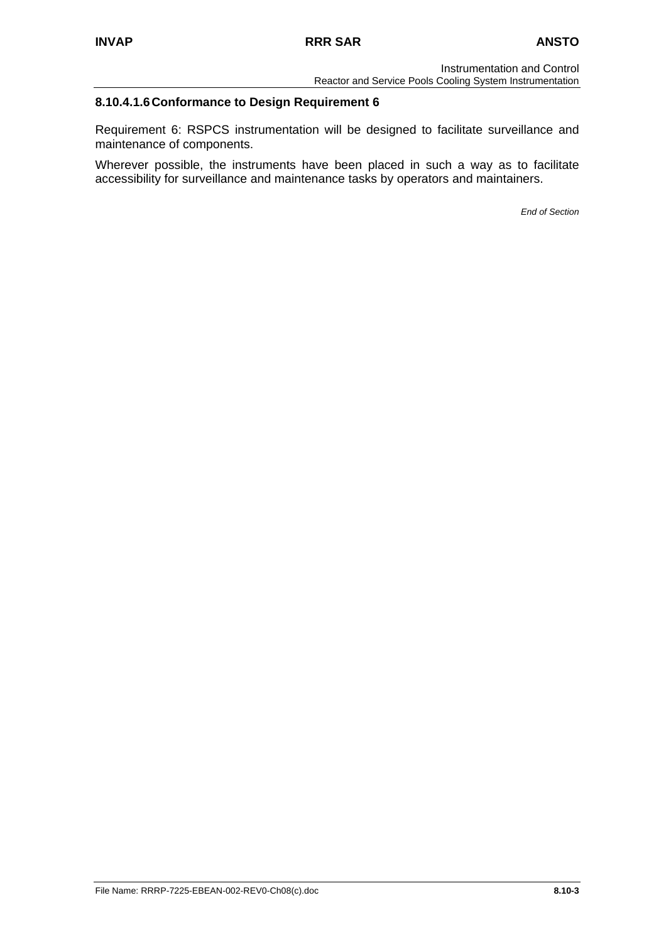## **8.10.4.1.6 Conformance to Design Requirement 6**

Requirement 6: RSPCS instrumentation will be designed to facilitate surveillance and maintenance of components.

Wherever possible, the instruments have been placed in such a way as to facilitate accessibility for surveillance and maintenance tasks by operators and maintainers.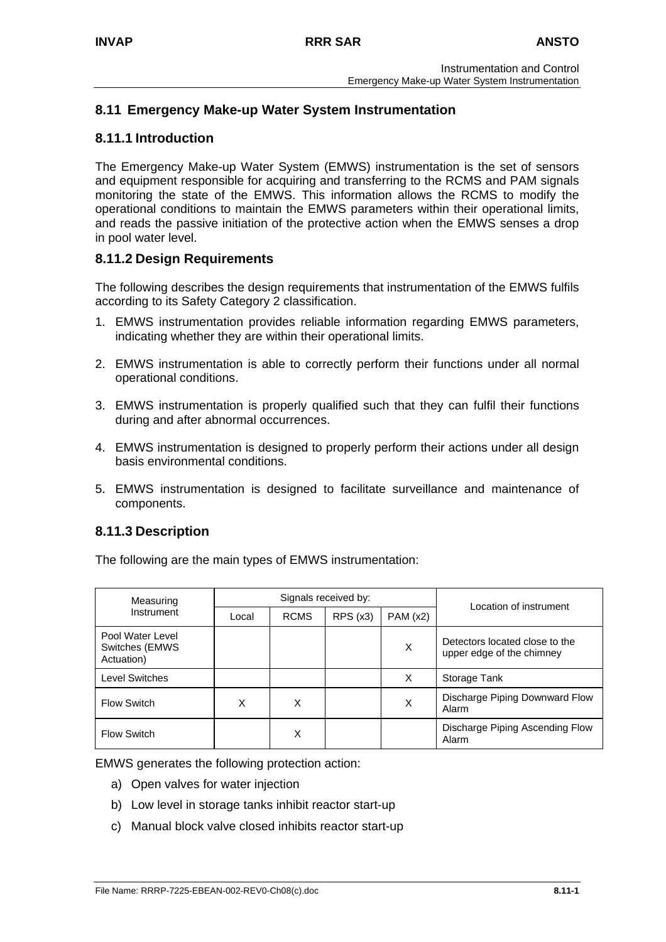# **8.11 Emergency Make-up Water System Instrumentation**

## **8.11.1 Introduction**

The Emergency Make-up Water System (EMWS) instrumentation is the set of sensors and equipment responsible for acquiring and transferring to the RCMS and PAM signals monitoring the state of the EMWS. This information allows the RCMS to modify the operational conditions to maintain the EMWS parameters within their operational limits, and reads the passive initiation of the protective action when the EMWS senses a drop in pool water level.

## **8.11.2 Design Requirements**

The following describes the design requirements that instrumentation of the EMWS fulfils according to its Safety Category 2 classification.

- 1. EMWS instrumentation provides reliable information regarding EMWS parameters, indicating whether they are within their operational limits.
- 2. EMWS instrumentation is able to correctly perform their functions under all normal operational conditions.
- 3. EMWS instrumentation is properly qualified such that they can fulfil their functions during and after abnormal occurrences.
- 4. EMWS instrumentation is designed to properly perform their actions under all design basis environmental conditions.
- 5. EMWS instrumentation is designed to facilitate surveillance and maintenance of components.

## **8.11.3 Description**

The following are the main types of EMWS instrumentation:

| Measuring                                         |       |             | Signals received by: | Location of instrument |                                                             |
|---------------------------------------------------|-------|-------------|----------------------|------------------------|-------------------------------------------------------------|
| Instrument                                        | Local | <b>RCMS</b> | RPS(x3)              | PAM(x2)                |                                                             |
| Pool Water Level<br>Switches (EMWS)<br>Actuation) |       |             |                      | X                      | Detectors located close to the<br>upper edge of the chimney |
| <b>Level Switches</b>                             |       |             |                      | X                      | Storage Tank                                                |
| <b>Flow Switch</b>                                | X     | X           |                      | X                      | Discharge Piping Downward Flow<br>Alarm                     |
| <b>Flow Switch</b>                                |       | X           |                      |                        | Discharge Piping Ascending Flow<br>Alarm                    |

EMWS generates the following protection action:

- a) Open valves for water injection
- b) Low level in storage tanks inhibit reactor start-up
- c) Manual block valve closed inhibits reactor start-up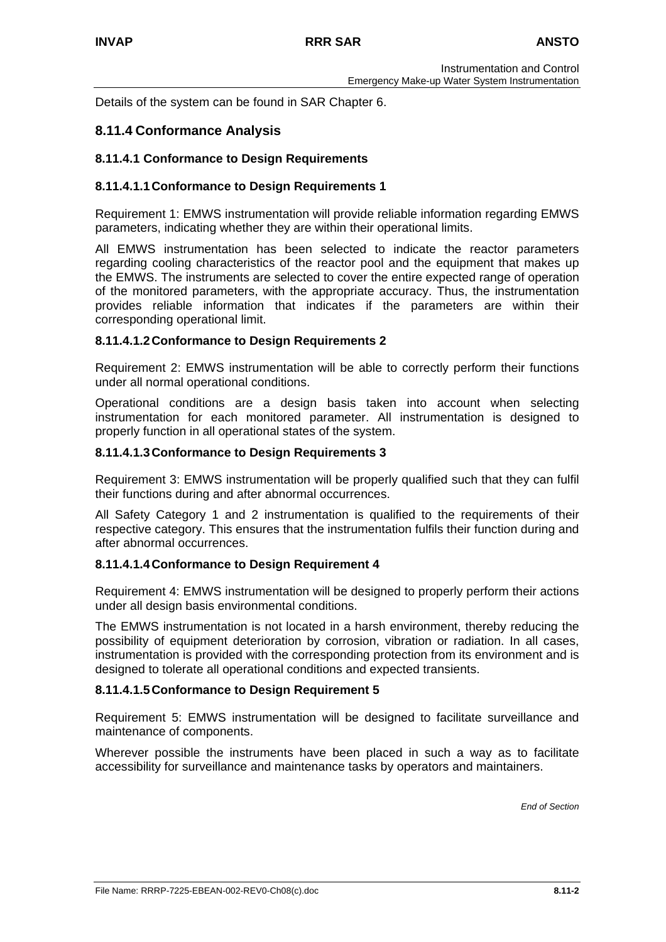Details of the system can be found in SAR Chapter 6.

### **8.11.4 Conformance Analysis**

#### **8.11.4.1 Conformance to Design Requirements**

#### **8.11.4.1.1 Conformance to Design Requirements 1**

Requirement 1: EMWS instrumentation will provide reliable information regarding EMWS parameters, indicating whether they are within their operational limits.

All EMWS instrumentation has been selected to indicate the reactor parameters regarding cooling characteristics of the reactor pool and the equipment that makes up the EMWS. The instruments are selected to cover the entire expected range of operation of the monitored parameters, with the appropriate accuracy. Thus, the instrumentation provides reliable information that indicates if the parameters are within their corresponding operational limit.

#### **8.11.4.1.2 Conformance to Design Requirements 2**

Requirement 2: EMWS instrumentation will be able to correctly perform their functions under all normal operational conditions.

Operational conditions are a design basis taken into account when selecting instrumentation for each monitored parameter. All instrumentation is designed to properly function in all operational states of the system.

#### **8.11.4.1.3 Conformance to Design Requirements 3**

Requirement 3: EMWS instrumentation will be properly qualified such that they can fulfil their functions during and after abnormal occurrences.

All Safety Category 1 and 2 instrumentation is qualified to the requirements of their respective category. This ensures that the instrumentation fulfils their function during and after abnormal occurrences.

#### **8.11.4.1.4 Conformance to Design Requirement 4**

Requirement 4: EMWS instrumentation will be designed to properly perform their actions under all design basis environmental conditions.

The EMWS instrumentation is not located in a harsh environment, thereby reducing the possibility of equipment deterioration by corrosion, vibration or radiation. In all cases, instrumentation is provided with the corresponding protection from its environment and is designed to tolerate all operational conditions and expected transients.

### **8.11.4.1.5 Conformance to Design Requirement 5**

Requirement 5: EMWS instrumentation will be designed to facilitate surveillance and maintenance of components.

Wherever possible the instruments have been placed in such a way as to facilitate accessibility for surveillance and maintenance tasks by operators and maintainers.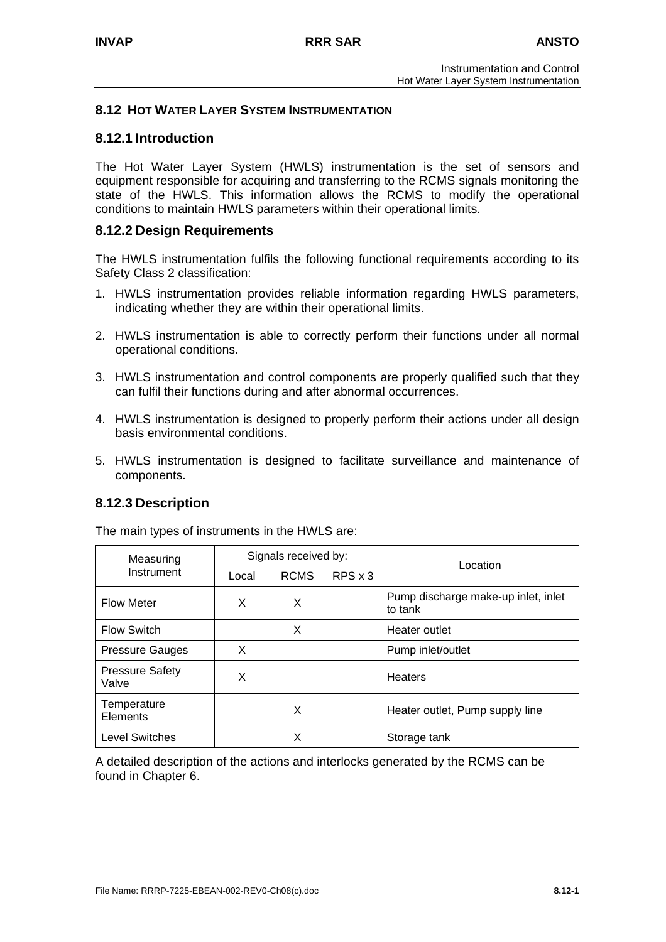### **8.12 HOT WATER LAYER SYSTEM INSTRUMENTATION**

## **8.12.1 Introduction**

The Hot Water Layer System (HWLS) instrumentation is the set of sensors and equipment responsible for acquiring and transferring to the RCMS signals monitoring the state of the HWLS. This information allows the RCMS to modify the operational conditions to maintain HWLS parameters within their operational limits.

### **8.12.2 Design Requirements**

The HWLS instrumentation fulfils the following functional requirements according to its Safety Class 2 classification:

- 1. HWLS instrumentation provides reliable information regarding HWLS parameters, indicating whether they are within their operational limits.
- 2. HWLS instrumentation is able to correctly perform their functions under all normal operational conditions.
- 3. HWLS instrumentation and control components are properly qualified such that they can fulfil their functions during and after abnormal occurrences.
- 4. HWLS instrumentation is designed to properly perform their actions under all design basis environmental conditions.
- 5. HWLS instrumentation is designed to facilitate surveillance and maintenance of components.

## **8.12.3 Description**

| Measuring                       | Signals received by: |             |                |                                                |
|---------------------------------|----------------------|-------------|----------------|------------------------------------------------|
| Instrument                      | Local                | <b>RCMS</b> | $RPS \times 3$ | Location                                       |
| <b>Flow Meter</b>               | X                    | X           |                | Pump discharge make-up inlet, inlet<br>to tank |
| <b>Flow Switch</b>              |                      | X           |                | Heater outlet                                  |
| <b>Pressure Gauges</b>          | X                    |             |                | Pump inlet/outlet                              |
| <b>Pressure Safety</b><br>Valve | X                    |             |                | <b>Heaters</b>                                 |
| Temperature<br>Elements         |                      | X           |                | Heater outlet, Pump supply line                |
| <b>Level Switches</b>           |                      | х           |                | Storage tank                                   |

The main types of instruments in the HWLS are:

A detailed description of the actions and interlocks generated by the RCMS can be found in Chapter 6.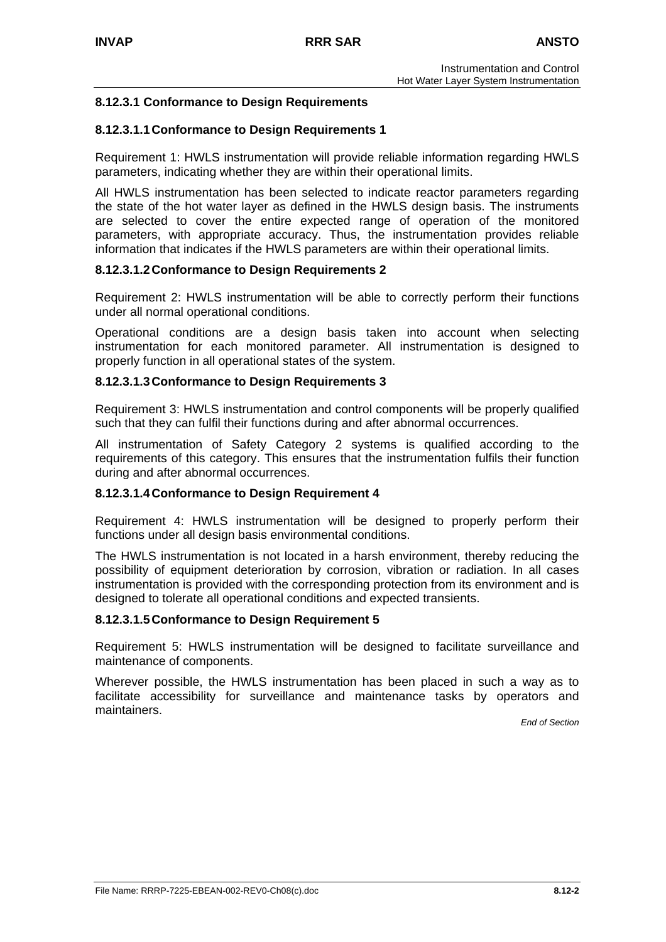## **8.12.3.1 Conformance to Design Requirements**

### **8.12.3.1.1 Conformance to Design Requirements 1**

Requirement 1: HWLS instrumentation will provide reliable information regarding HWLS parameters, indicating whether they are within their operational limits.

All HWLS instrumentation has been selected to indicate reactor parameters regarding the state of the hot water layer as defined in the HWLS design basis. The instruments are selected to cover the entire expected range of operation of the monitored parameters, with appropriate accuracy. Thus, the instrumentation provides reliable information that indicates if the HWLS parameters are within their operational limits.

### **8.12.3.1.2 Conformance to Design Requirements 2**

Requirement 2: HWLS instrumentation will be able to correctly perform their functions under all normal operational conditions.

Operational conditions are a design basis taken into account when selecting instrumentation for each monitored parameter. All instrumentation is designed to properly function in all operational states of the system.

### **8.12.3.1.3 Conformance to Design Requirements 3**

Requirement 3: HWLS instrumentation and control components will be properly qualified such that they can fulfil their functions during and after abnormal occurrences.

All instrumentation of Safety Category 2 systems is qualified according to the requirements of this category. This ensures that the instrumentation fulfils their function during and after abnormal occurrences.

## **8.12.3.1.4 Conformance to Design Requirement 4**

Requirement 4: HWLS instrumentation will be designed to properly perform their functions under all design basis environmental conditions.

The HWLS instrumentation is not located in a harsh environment, thereby reducing the possibility of equipment deterioration by corrosion, vibration or radiation. In all cases instrumentation is provided with the corresponding protection from its environment and is designed to tolerate all operational conditions and expected transients.

### **8.12.3.1.5 Conformance to Design Requirement 5**

Requirement 5: HWLS instrumentation will be designed to facilitate surveillance and maintenance of components.

Wherever possible, the HWLS instrumentation has been placed in such a way as to facilitate accessibility for surveillance and maintenance tasks by operators and maintainers.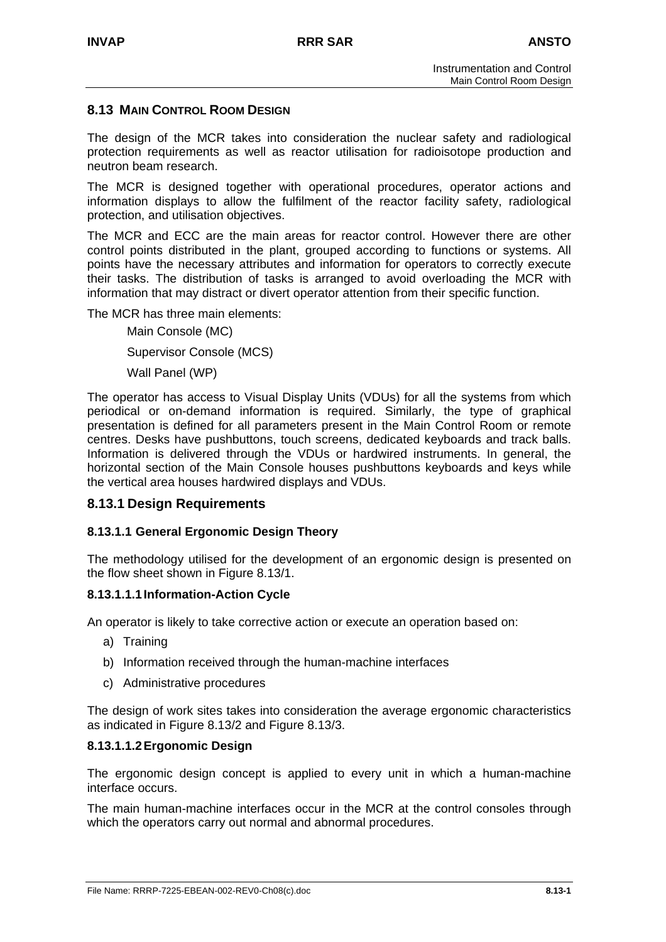### **8.13 MAIN CONTROL ROOM DESIGN**

The design of the MCR takes into consideration the nuclear safety and radiological protection requirements as well as reactor utilisation for radioisotope production and neutron beam research.

The MCR is designed together with operational procedures, operator actions and information displays to allow the fulfilment of the reactor facility safety, radiological protection, and utilisation objectives.

The MCR and ECC are the main areas for reactor control. However there are other control points distributed in the plant, grouped according to functions or systems. All points have the necessary attributes and information for operators to correctly execute their tasks. The distribution of tasks is arranged to avoid overloading the MCR with information that may distract or divert operator attention from their specific function.

The MCR has three main elements:

Main Console (MC) Supervisor Console (MCS)

Wall Panel (WP)

The operator has access to Visual Display Units (VDUs) for all the systems from which periodical or on-demand information is required. Similarly, the type of graphical presentation is defined for all parameters present in the Main Control Room or remote centres. Desks have pushbuttons, touch screens, dedicated keyboards and track balls. Information is delivered through the VDUs or hardwired instruments. In general, the horizontal section of the Main Console houses pushbuttons keyboards and keys while the vertical area houses hardwired displays and VDUs.

### **8.13.1 Design Requirements**

### **8.13.1.1 General Ergonomic Design Theory**

The methodology utilised for the development of an ergonomic design is presented on the flow sheet shown in Figure 8.13/1.

### **8.13.1.1.1 Information-Action Cycle**

An operator is likely to take corrective action or execute an operation based on:

- a) Training
- b) Information received through the human-machine interfaces
- c) Administrative procedures

The design of work sites takes into consideration the average ergonomic characteristics as indicated in Figure 8.13/2 and Figure 8.13/3.

### **8.13.1.1.2 Ergonomic Design**

The ergonomic design concept is applied to every unit in which a human-machine interface occurs.

The main human-machine interfaces occur in the MCR at the control consoles through which the operators carry out normal and abnormal procedures.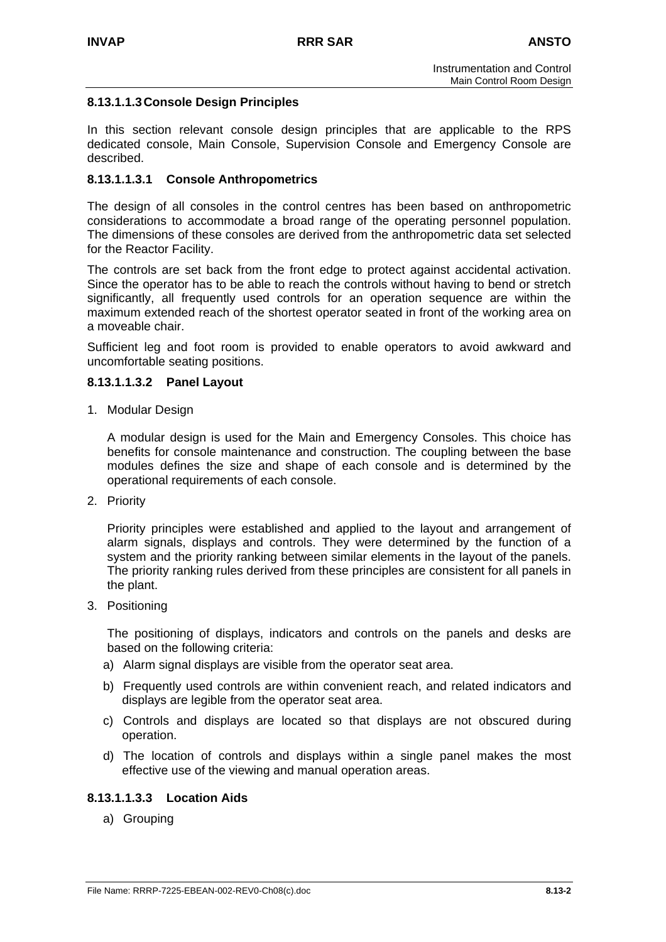### **8.13.1.1.3 Console Design Principles**

In this section relevant console design principles that are applicable to the RPS dedicated console, Main Console, Supervision Console and Emergency Console are described.

### **8.13.1.1.3.1 Console Anthropometrics**

The design of all consoles in the control centres has been based on anthropometric considerations to accommodate a broad range of the operating personnel population. The dimensions of these consoles are derived from the anthropometric data set selected for the Reactor Facility.

The controls are set back from the front edge to protect against accidental activation. Since the operator has to be able to reach the controls without having to bend or stretch significantly, all frequently used controls for an operation sequence are within the maximum extended reach of the shortest operator seated in front of the working area on a moveable chair.

Sufficient leg and foot room is provided to enable operators to avoid awkward and uncomfortable seating positions.

### **8.13.1.1.3.2 Panel Layout**

1. Modular Design

A modular design is used for the Main and Emergency Consoles. This choice has benefits for console maintenance and construction. The coupling between the base modules defines the size and shape of each console and is determined by the operational requirements of each console.

2. Priority

Priority principles were established and applied to the layout and arrangement of alarm signals, displays and controls. They were determined by the function of a system and the priority ranking between similar elements in the layout of the panels. The priority ranking rules derived from these principles are consistent for all panels in the plant.

3. Positioning

The positioning of displays, indicators and controls on the panels and desks are based on the following criteria:

- a) Alarm signal displays are visible from the operator seat area.
- b) Frequently used controls are within convenient reach, and related indicators and displays are legible from the operator seat area.
- c) Controls and displays are located so that displays are not obscured during operation.
- d) The location of controls and displays within a single panel makes the most effective use of the viewing and manual operation areas.

### **8.13.1.1.3.3 Location Aids**

a) Grouping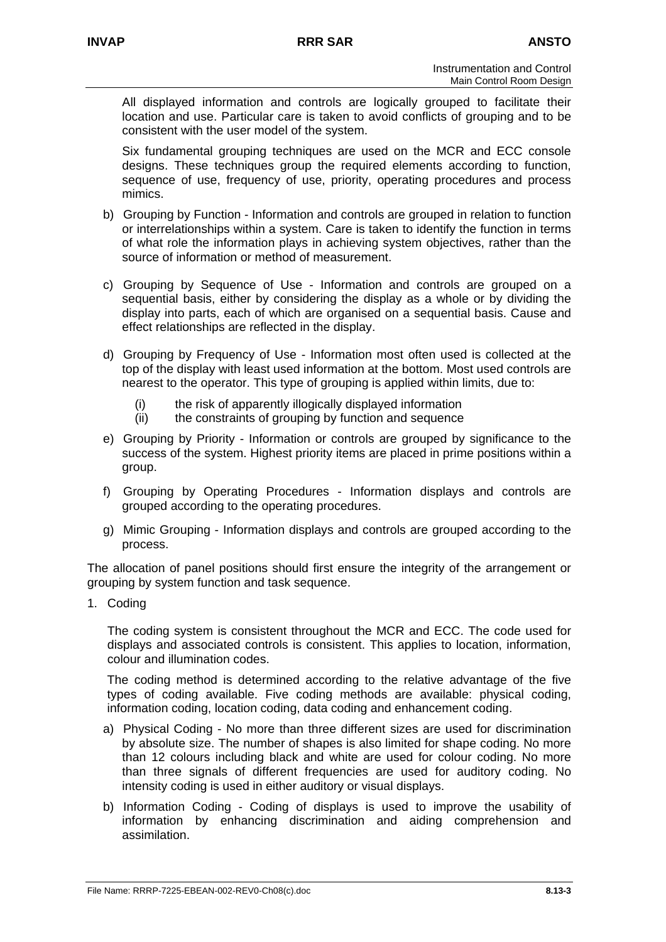All displayed information and controls are logically grouped to facilitate their location and use. Particular care is taken to avoid conflicts of grouping and to be consistent with the user model of the system.

Six fundamental grouping techniques are used on the MCR and ECC console designs. These techniques group the required elements according to function, sequence of use, frequency of use, priority, operating procedures and process mimics.

- b) Grouping by Function Information and controls are grouped in relation to function or interrelationships within a system. Care is taken to identify the function in terms of what role the information plays in achieving system objectives, rather than the source of information or method of measurement.
- c) Grouping by Sequence of Use Information and controls are grouped on a sequential basis, either by considering the display as a whole or by dividing the display into parts, each of which are organised on a sequential basis. Cause and effect relationships are reflected in the display.
- d) Grouping by Frequency of Use Information most often used is collected at the top of the display with least used information at the bottom. Most used controls are nearest to the operator. This type of grouping is applied within limits, due to:
	- (i) the risk of apparently illogically displayed information
	- (ii) the constraints of grouping by function and sequence
- e) Grouping by Priority Information or controls are grouped by significance to the success of the system. Highest priority items are placed in prime positions within a group.
- f) Grouping by Operating Procedures Information displays and controls are grouped according to the operating procedures.
- g) Mimic Grouping Information displays and controls are grouped according to the process.

The allocation of panel positions should first ensure the integrity of the arrangement or grouping by system function and task sequence.

1. Coding

The coding system is consistent throughout the MCR and ECC. The code used for displays and associated controls is consistent. This applies to location, information, colour and illumination codes.

The coding method is determined according to the relative advantage of the five types of coding available. Five coding methods are available: physical coding, information coding, location coding, data coding and enhancement coding.

- a) Physical Coding No more than three different sizes are used for discrimination by absolute size. The number of shapes is also limited for shape coding. No more than 12 colours including black and white are used for colour coding. No more than three signals of different frequencies are used for auditory coding. No intensity coding is used in either auditory or visual displays.
- b) Information Coding Coding of displays is used to improve the usability of information by enhancing discrimination and aiding comprehension and assimilation.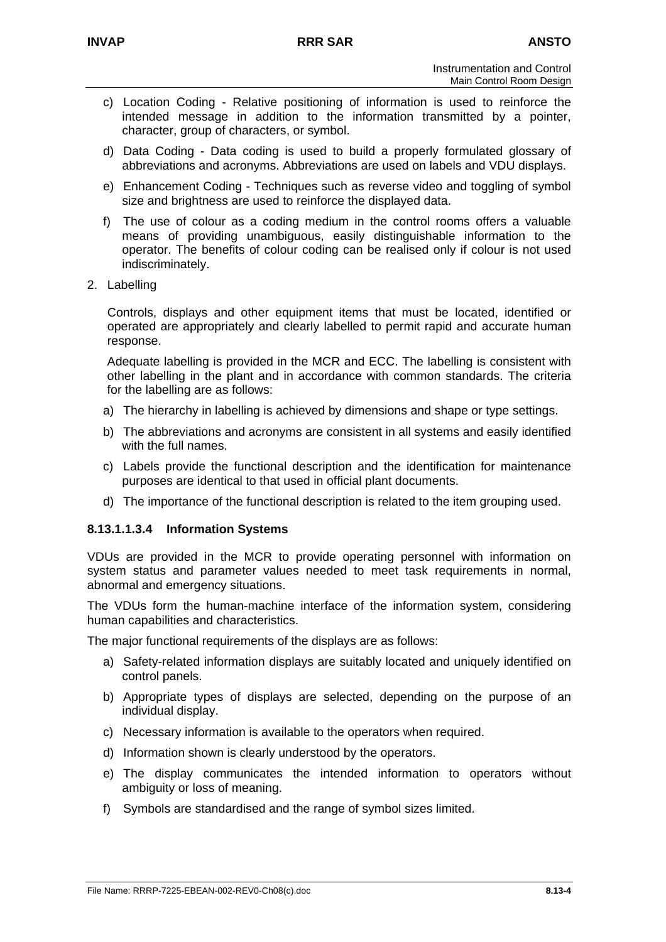- c) Location Coding Relative positioning of information is used to reinforce the intended message in addition to the information transmitted by a pointer, character, group of characters, or symbol.
- d) Data Coding Data coding is used to build a properly formulated glossary of abbreviations and acronyms. Abbreviations are used on labels and VDU displays.
- e) Enhancement Coding Techniques such as reverse video and toggling of symbol size and brightness are used to reinforce the displayed data.
- f) The use of colour as a coding medium in the control rooms offers a valuable means of providing unambiguous, easily distinguishable information to the operator. The benefits of colour coding can be realised only if colour is not used indiscriminately.
- 2. Labelling

Controls, displays and other equipment items that must be located, identified or operated are appropriately and clearly labelled to permit rapid and accurate human response.

Adequate labelling is provided in the MCR and ECC. The labelling is consistent with other labelling in the plant and in accordance with common standards. The criteria for the labelling are as follows:

- a) The hierarchy in labelling is achieved by dimensions and shape or type settings.
- b) The abbreviations and acronyms are consistent in all systems and easily identified with the full names.
- c) Labels provide the functional description and the identification for maintenance purposes are identical to that used in official plant documents.
- d) The importance of the functional description is related to the item grouping used.

## **8.13.1.1.3.4 Information Systems**

VDUs are provided in the MCR to provide operating personnel with information on system status and parameter values needed to meet task requirements in normal, abnormal and emergency situations.

The VDUs form the human-machine interface of the information system, considering human capabilities and characteristics.

The major functional requirements of the displays are as follows:

- a) Safety-related information displays are suitably located and uniquely identified on control panels.
- b) Appropriate types of displays are selected, depending on the purpose of an individual display.
- c) Necessary information is available to the operators when required.
- d) Information shown is clearly understood by the operators.
- e) The display communicates the intended information to operators without ambiguity or loss of meaning.
- f) Symbols are standardised and the range of symbol sizes limited.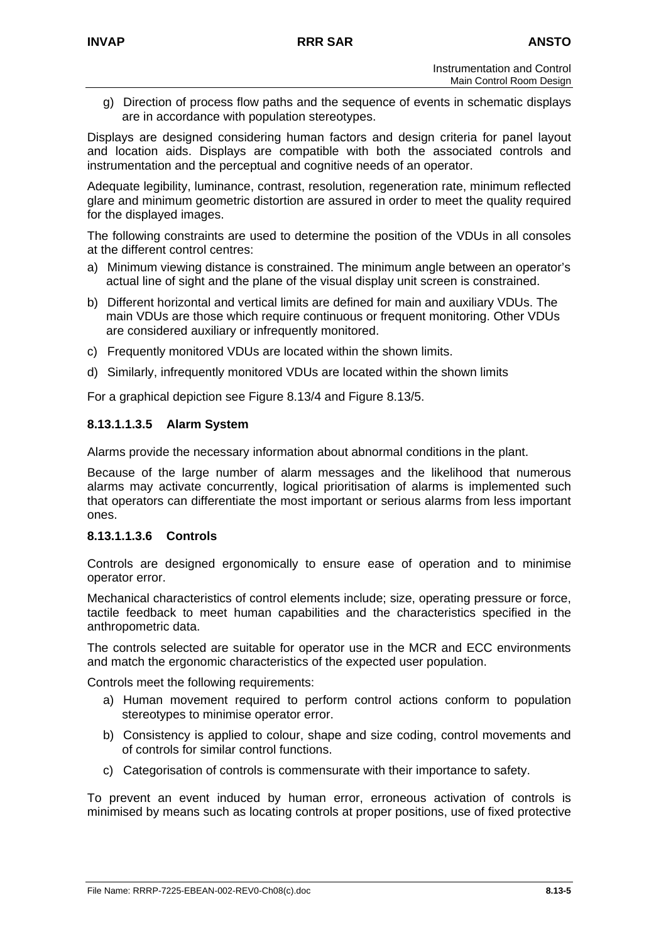g) Direction of process flow paths and the sequence of events in schematic displays are in accordance with population stereotypes.

Displays are designed considering human factors and design criteria for panel layout and location aids. Displays are compatible with both the associated controls and instrumentation and the perceptual and cognitive needs of an operator.

Adequate legibility, luminance, contrast, resolution, regeneration rate, minimum reflected glare and minimum geometric distortion are assured in order to meet the quality required for the displayed images.

The following constraints are used to determine the position of the VDUs in all consoles at the different control centres:

- a) Minimum viewing distance is constrained. The minimum angle between an operator's actual line of sight and the plane of the visual display unit screen is constrained.
- b) Different horizontal and vertical limits are defined for main and auxiliary VDUs. The main VDUs are those which require continuous or frequent monitoring. Other VDUs are considered auxiliary or infrequently monitored.
- c) Frequently monitored VDUs are located within the shown limits.
- d) Similarly, infrequently monitored VDUs are located within the shown limits

For a graphical depiction see Figure 8.13/4 and Figure 8.13/5.

## **8.13.1.1.3.5 Alarm System**

Alarms provide the necessary information about abnormal conditions in the plant.

Because of the large number of alarm messages and the likelihood that numerous alarms may activate concurrently, logical prioritisation of alarms is implemented such that operators can differentiate the most important or serious alarms from less important ones.

### **8.13.1.1.3.6 Controls**

Controls are designed ergonomically to ensure ease of operation and to minimise operator error.

Mechanical characteristics of control elements include; size, operating pressure or force, tactile feedback to meet human capabilities and the characteristics specified in the anthropometric data.

The controls selected are suitable for operator use in the MCR and ECC environments and match the ergonomic characteristics of the expected user population.

Controls meet the following requirements:

- a) Human movement required to perform control actions conform to population stereotypes to minimise operator error.
- b) Consistency is applied to colour, shape and size coding, control movements and of controls for similar control functions.
- c) Categorisation of controls is commensurate with their importance to safety.

To prevent an event induced by human error, erroneous activation of controls is minimised by means such as locating controls at proper positions, use of fixed protective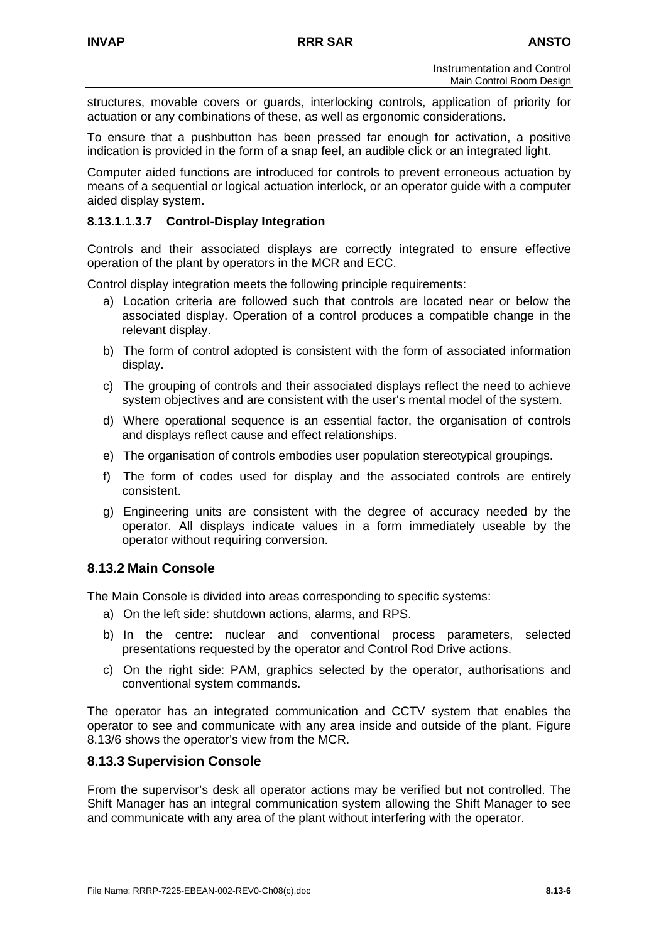structures, movable covers or guards, interlocking controls, application of priority for actuation or any combinations of these, as well as ergonomic considerations.

To ensure that a pushbutton has been pressed far enough for activation, a positive indication is provided in the form of a snap feel, an audible click or an integrated light.

Computer aided functions are introduced for controls to prevent erroneous actuation by means of a sequential or logical actuation interlock, or an operator guide with a computer aided display system.

### **8.13.1.1.3.7 Control-Display Integration**

Controls and their associated displays are correctly integrated to ensure effective operation of the plant by operators in the MCR and ECC.

Control display integration meets the following principle requirements:

- a) Location criteria are followed such that controls are located near or below the associated display. Operation of a control produces a compatible change in the relevant display.
- b) The form of control adopted is consistent with the form of associated information display.
- c) The grouping of controls and their associated displays reflect the need to achieve system objectives and are consistent with the user's mental model of the system.
- d) Where operational sequence is an essential factor, the organisation of controls and displays reflect cause and effect relationships.
- e) The organisation of controls embodies user population stereotypical groupings.
- f) The form of codes used for display and the associated controls are entirely consistent.
- g) Engineering units are consistent with the degree of accuracy needed by the operator. All displays indicate values in a form immediately useable by the operator without requiring conversion.

## **8.13.2 Main Console**

The Main Console is divided into areas corresponding to specific systems:

- a) On the left side: shutdown actions, alarms, and RPS.
- b) In the centre: nuclear and conventional process parameters, selected presentations requested by the operator and Control Rod Drive actions.
- c) On the right side: PAM, graphics selected by the operator, authorisations and conventional system commands.

The operator has an integrated communication and CCTV system that enables the operator to see and communicate with any area inside and outside of the plant. Figure 8.13/6 shows the operator's view from the MCR.

### **8.13.3 Supervision Console**

From the supervisor's desk all operator actions may be verified but not controlled. The Shift Manager has an integral communication system allowing the Shift Manager to see and communicate with any area of the plant without interfering with the operator.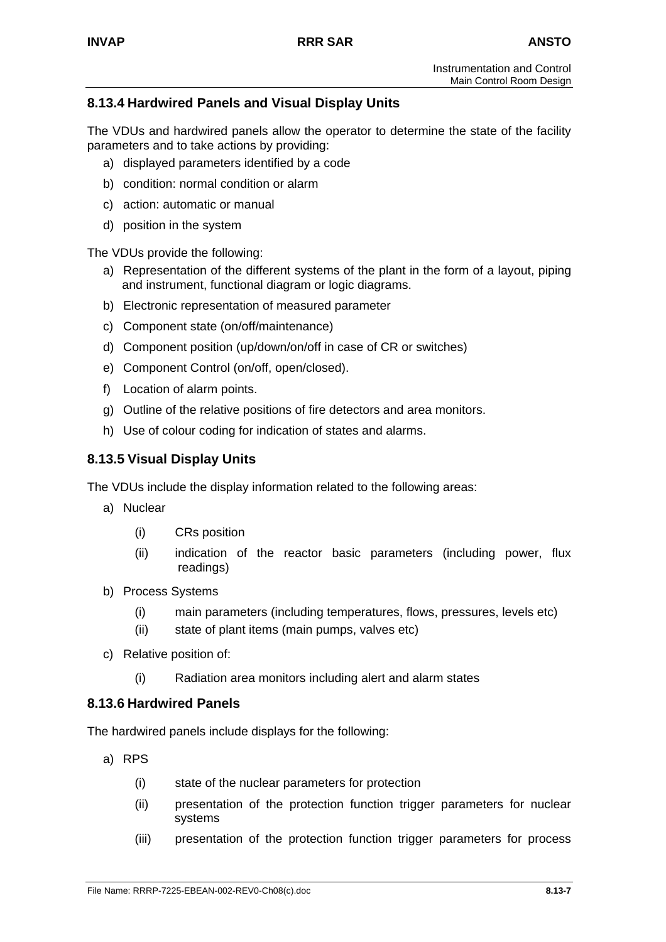# **8.13.4 Hardwired Panels and Visual Display Units**

The VDUs and hardwired panels allow the operator to determine the state of the facility parameters and to take actions by providing:

- a) displayed parameters identified by a code
- b) condition: normal condition or alarm
- c) action: automatic or manual
- d) position in the system

The VDUs provide the following:

- a) Representation of the different systems of the plant in the form of a layout, piping and instrument, functional diagram or logic diagrams.
- b) Electronic representation of measured parameter
- c) Component state (on/off/maintenance)
- d) Component position (up/down/on/off in case of CR or switches)
- e) Component Control (on/off, open/closed).
- f) Location of alarm points.
- g) Outline of the relative positions of fire detectors and area monitors.
- h) Use of colour coding for indication of states and alarms.

## **8.13.5 Visual Display Units**

The VDUs include the display information related to the following areas:

- a) Nuclear
	- (i) CRs position
	- (ii) indication of the reactor basic parameters (including power, flux readings)
- b) Process Systems
	- (i) main parameters (including temperatures, flows, pressures, levels etc)
	- (ii) state of plant items (main pumps, valves etc)
- c) Relative position of:
	- (i) Radiation area monitors including alert and alarm states

### **8.13.6 Hardwired Panels**

The hardwired panels include displays for the following:

- a) RPS
	- (i) state of the nuclear parameters for protection
	- (ii) presentation of the protection function trigger parameters for nuclear systems
	- (iii) presentation of the protection function trigger parameters for process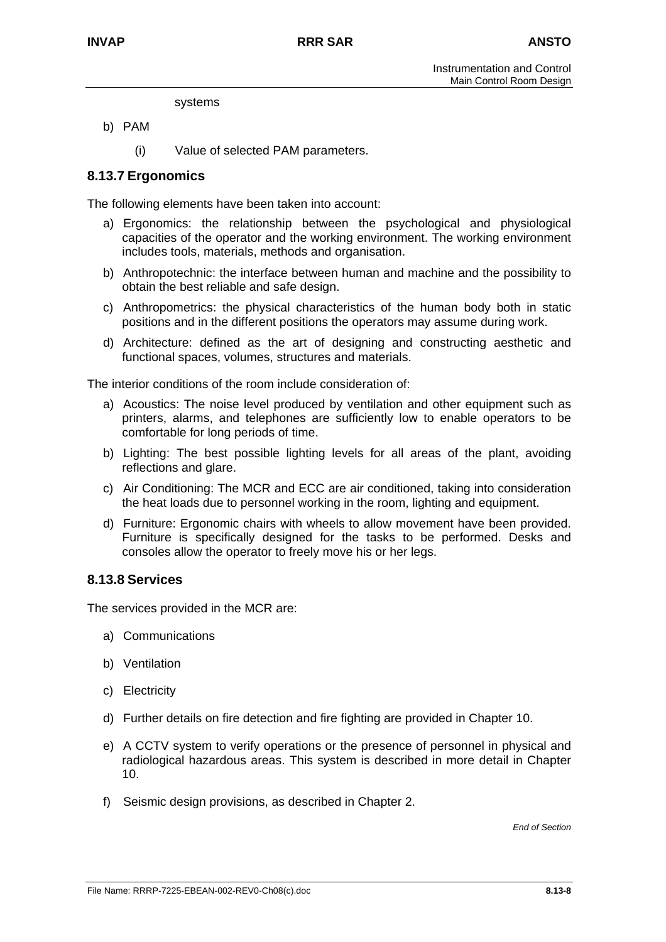#### systems

- b) PAM
	- (i) Value of selected PAM parameters.

## **8.13.7 Ergonomics**

The following elements have been taken into account:

- a) Ergonomics: the relationship between the psychological and physiological capacities of the operator and the working environment. The working environment includes tools, materials, methods and organisation.
- b) Anthropotechnic: the interface between human and machine and the possibility to obtain the best reliable and safe design.
- c) Anthropometrics: the physical characteristics of the human body both in static positions and in the different positions the operators may assume during work.
- d) Architecture: defined as the art of designing and constructing aesthetic and functional spaces, volumes, structures and materials.

The interior conditions of the room include consideration of:

- a) Acoustics: The noise level produced by ventilation and other equipment such as printers, alarms, and telephones are sufficiently low to enable operators to be comfortable for long periods of time.
- b) Lighting: The best possible lighting levels for all areas of the plant, avoiding reflections and glare.
- c) Air Conditioning: The MCR and ECC are air conditioned, taking into consideration the heat loads due to personnel working in the room, lighting and equipment.
- d) Furniture: Ergonomic chairs with wheels to allow movement have been provided. Furniture is specifically designed for the tasks to be performed. Desks and consoles allow the operator to freely move his or her legs.

## **8.13.8 Services**

The services provided in the MCR are:

- a) Communications
- b) Ventilation
- c) Electricity
- d) Further details on fire detection and fire fighting are provided in Chapter 10.
- e) A CCTV system to verify operations or the presence of personnel in physical and radiological hazardous areas. This system is described in more detail in Chapter 10.
- f) Seismic design provisions, as described in Chapter 2.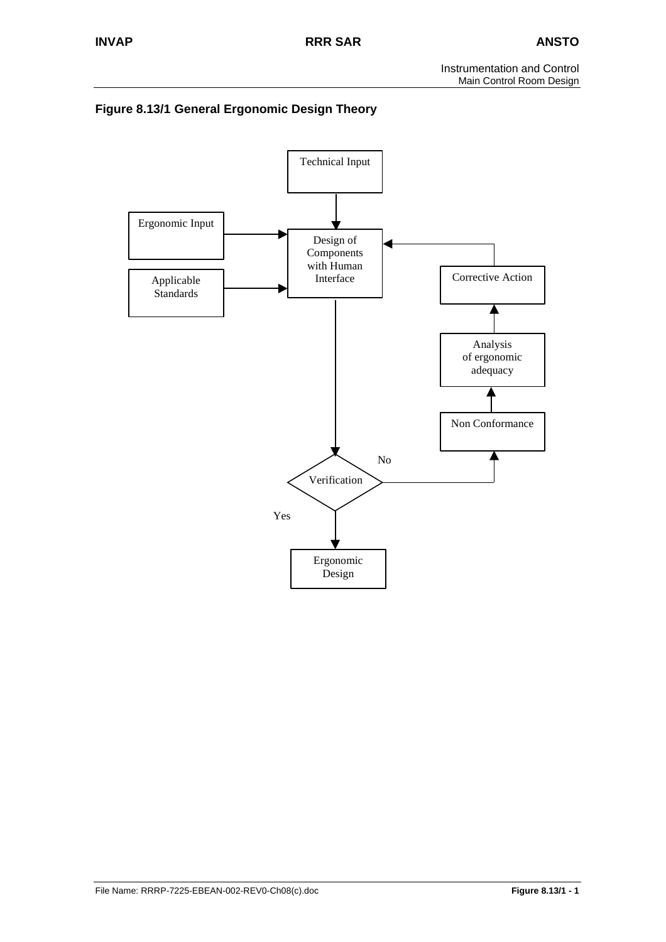

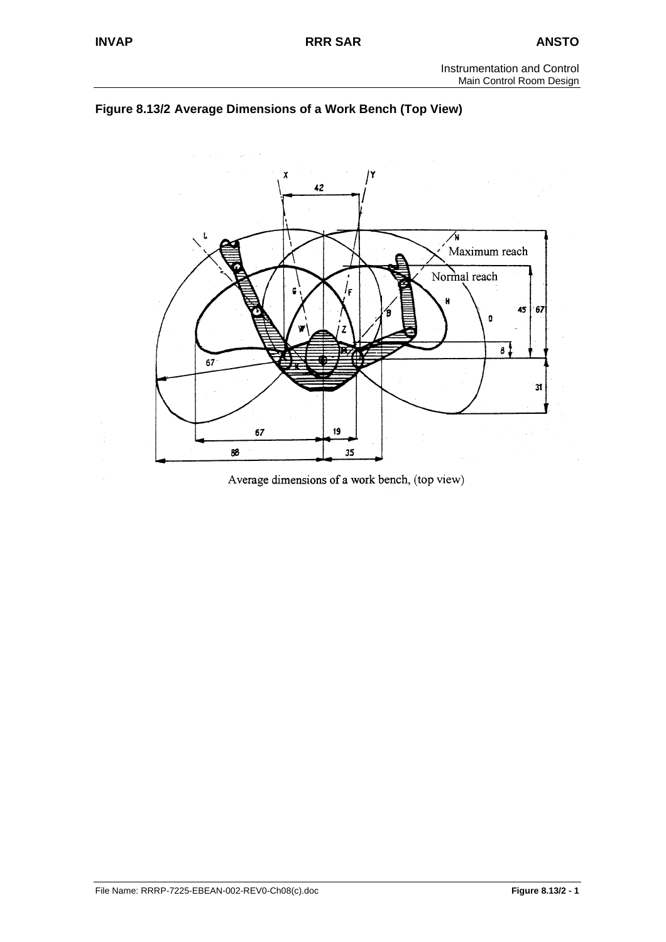



Average dimensions of a work bench, (top view)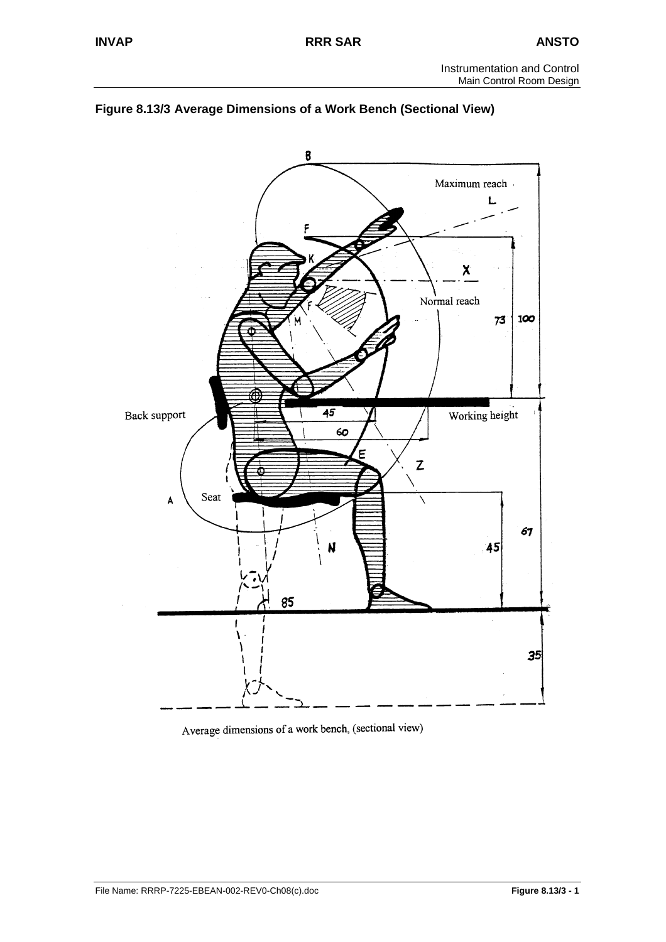



Average dimensions of a work bench, (sectional view)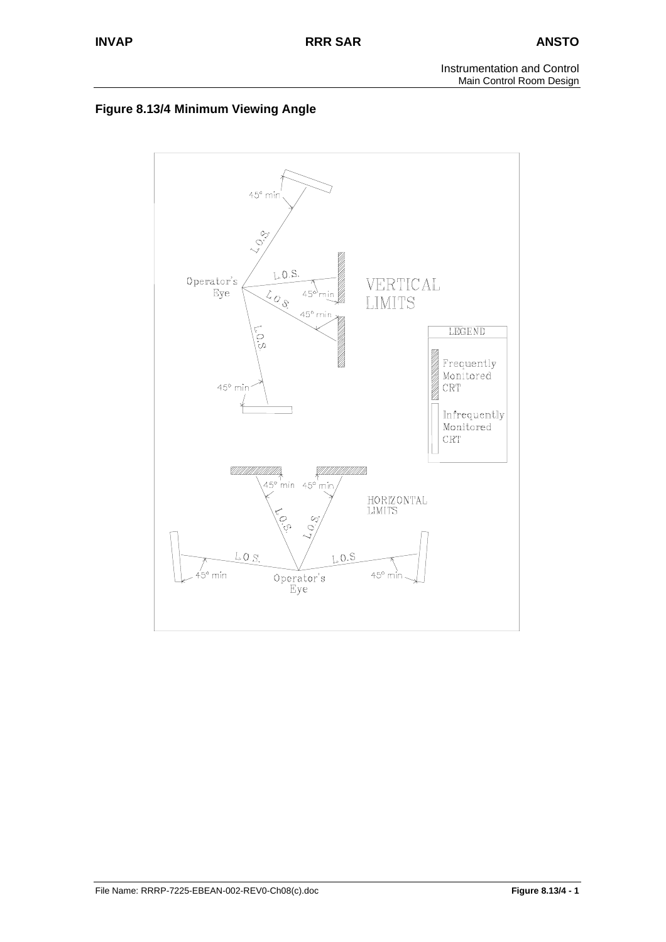

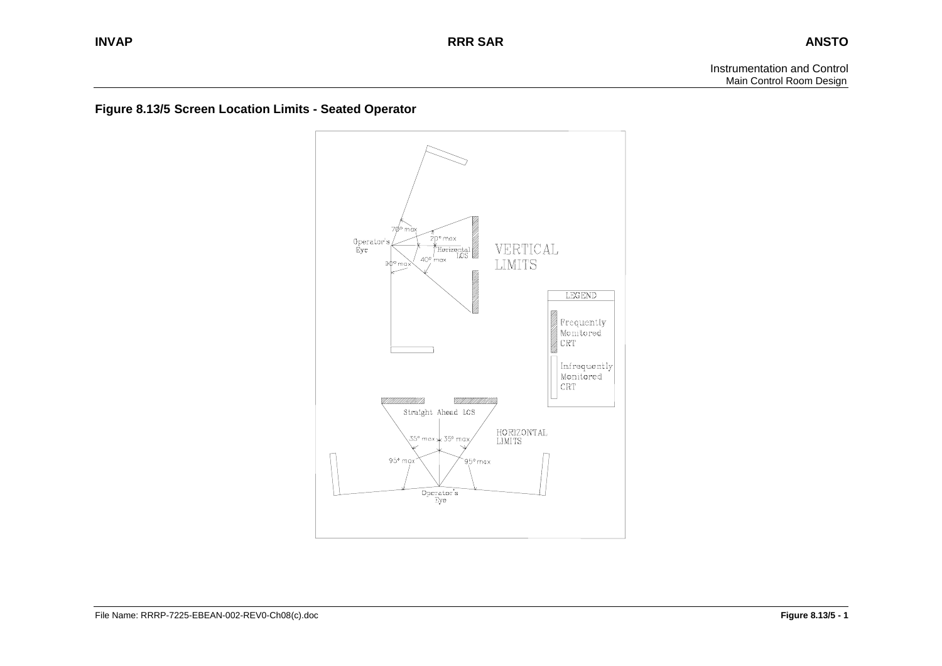**Figure 8.13/5 Screen Location Limits - Seated Operator** 

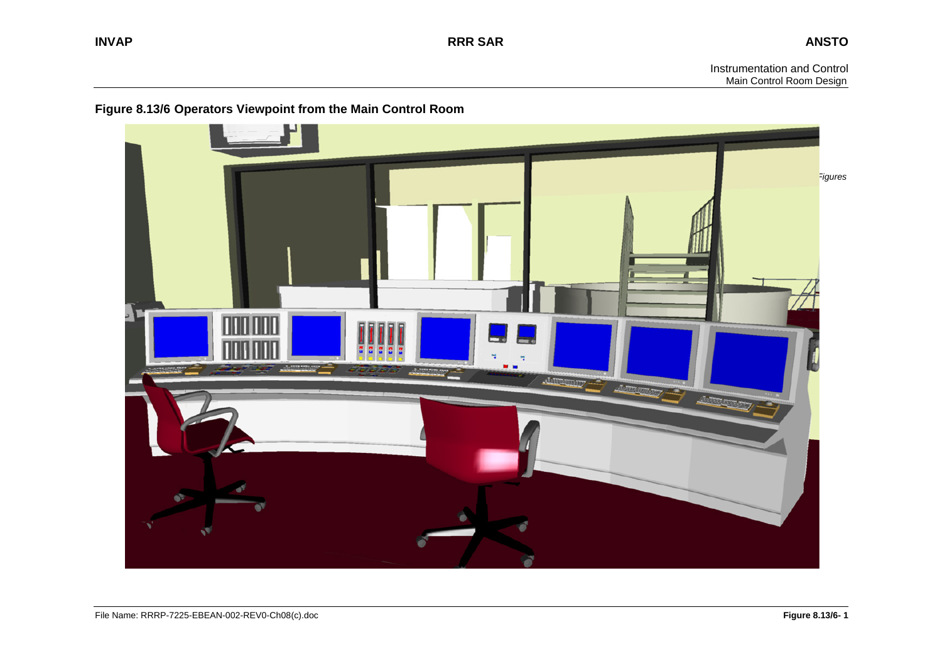# **Figure 8.13/6 Operators Viewpoint from the Main Control Room**